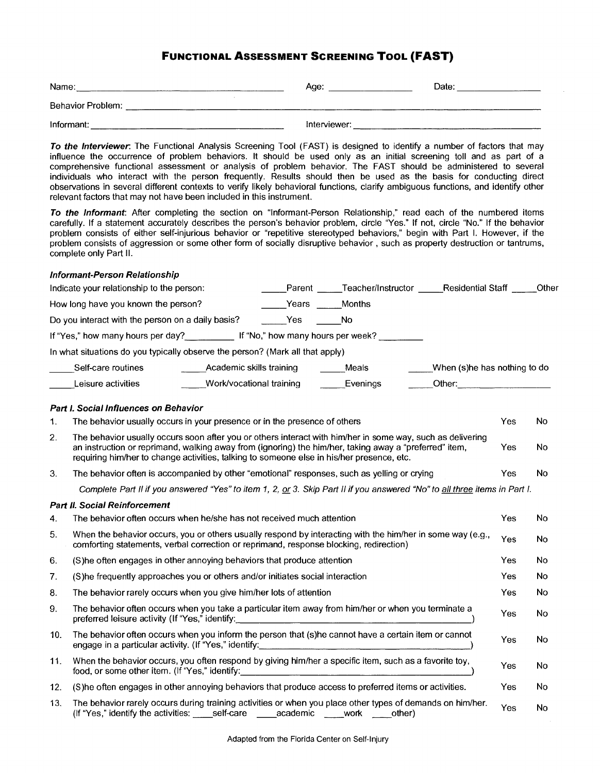## **FUNCTIONAL ASSESSMENT SCREENING TOOL (FAST)**

| Name:             | Age:         | Date: |
|-------------------|--------------|-------|
| Behavior Problem: |              |       |
| Informant:        | Interviewer: |       |

To the Interviewer. The Functional Analysis Screening Tool (FAST) is designed to identify a number of factors that may influence the occurrence of problem behaviors. It should be used only as an initial screening toll and as part of a comprehensive functional assessment or analysis of problem behavior. The FAST should be administered to several individuals who interact with the person frequently. Results should then be used as the basis for conducting direct observations in several different contexts to verify likely behavioral functions, clarify ambiguous functions, and identify other relevant factors that may not have been included in this instrument.

To the Informant: After completing the section on "Informant-Person Relationship," read each of the numbered items carefully. If a statement accurately describes the person's behavior problem, circle "Yes." If not, circle "No." If the behavior problem consists of either self-injurious behavior or "repetitive stereotyped behaviors," begin with Part I. However, if the problem consists of aggression or some other form of socially disruptive behavior, such as property destruction or tantrums, complete only Part II.

## Informant-Person Relationship

|     | Informant-Person Relationship                                                                                                                                                                                                                                                                                     |                                      |       |                                                   |                              |            |    |
|-----|-------------------------------------------------------------------------------------------------------------------------------------------------------------------------------------------------------------------------------------------------------------------------------------------------------------------|--------------------------------------|-------|---------------------------------------------------|------------------------------|------------|----|
|     | Indicate your relationship to the person:                                                                                                                                                                                                                                                                         |                                      |       | Parent Teacher/Instructor Residential Staff Other |                              |            |    |
|     | How long have you known the person?                                                                                                                                                                                                                                                                               |                                      | Years | Months                                            |                              |            |    |
|     | Do you interact with the person on a daily basis?                                                                                                                                                                                                                                                                 |                                      | Yes   | <b>No</b>                                         |                              |            |    |
|     | If "Yes," how many hours per day? If "No," how many hours per week?                                                                                                                                                                                                                                               |                                      |       |                                                   |                              |            |    |
|     | In what situations do you typically observe the person? (Mark all that apply)                                                                                                                                                                                                                                     |                                      |       |                                                   |                              |            |    |
|     | Self-care routines                                                                                                                                                                                                                                                                                                | Academic skills training             |       | Meals                                             | When (s)he has nothing to do |            |    |
|     | Leisure activities                                                                                                                                                                                                                                                                                                | Work/vocational training<br>Evenings |       |                                                   |                              |            |    |
|     | Part I. Social Influences on Behavior                                                                                                                                                                                                                                                                             |                                      |       |                                                   |                              |            |    |
| 1.  | The behavior usually occurs in your presence or in the presence of others                                                                                                                                                                                                                                         |                                      |       |                                                   |                              | Yes        | No |
| 2.  | The behavior usually occurs soon after you or others interact with him/her in some way, such as delivering<br>an instruction or reprimand, walking away from (ignoring) the him/her, taking away a "preferred" item,<br>requiring him/her to change activities, talking to someone else in his/her presence, etc. |                                      |       |                                                   |                              | <b>Yes</b> | No |
| 3.  | The behavior often is accompanied by other "emotional" responses, such as yelling or crying                                                                                                                                                                                                                       |                                      |       |                                                   |                              | <b>Yes</b> | No |
|     | Complete Part II if you answered "Yes" to item 1, 2, or 3. Skip Part II if you answered "No" to all three items in Part I.                                                                                                                                                                                        |                                      |       |                                                   |                              |            |    |
|     | <b>Part II. Social Reinforcement</b>                                                                                                                                                                                                                                                                              |                                      |       |                                                   |                              |            |    |
| 4.  | The behavior often occurs when he/she has not received much attention<br>Yes                                                                                                                                                                                                                                      |                                      |       |                                                   |                              |            | No |
| 5.  | When the behavior occurs, you or others usually respond by interacting with the him/her in some way (e.g.,<br>comforting statements, verbal correction or reprimand, response blocking, redirection)                                                                                                              |                                      |       |                                                   |                              |            | No |
| 6.  | (S) he often engages in other annoying behaviors that produce attention                                                                                                                                                                                                                                           |                                      |       |                                                   |                              |            | No |
| 7.  | (S) he frequently approaches you or others and/or initiates social interaction                                                                                                                                                                                                                                    |                                      |       |                                                   |                              |            | No |
| 8.  | The behavior rarely occurs when you give him/her lots of attention                                                                                                                                                                                                                                                |                                      |       |                                                   |                              |            | No |
| 9.  | The behavior often occurs when you take a particular item away from him/her or when you terminate a<br>preferred leisure activity (If "Yes," identify:<br><u> 1980 - Johann Stein, Amerikaansk politiker (* 1950)</u>                                                                                             |                                      |       |                                                   |                              |            | No |
| 10. | The behavior often occurs when you inform the person that (s)he cannot have a certain item or cannot<br>engage in a particular activity. (If "Yes," identify:<br><u> 1989 - Johann John Stein, margaret eta mendeko hamarreko hamarreko hamarreko hamarreko hamarreko hamarreko h</u>                             |                                      |       |                                                   |                              |            | No |
| 11. | When the behavior occurs, you often respond by giving him/her a specific item, such as a favorite toy,<br>food, or some other item. (If "Yes," identify:                                                                                                                                                          |                                      |       |                                                   |                              | Yes        | No |
| 12. | (S) he often engages in other annoying behaviors that produce access to preferred items or activities.                                                                                                                                                                                                            |                                      |       |                                                   |                              | <b>Yes</b> | No |
| 13. | The behavior rarely occurs during training activities or when you place other types of demands on him/her.<br>(If "Yes," identify the activities: self-care<br>academic<br>other)<br>work                                                                                                                         |                                      |       |                                                   |                              |            | No |